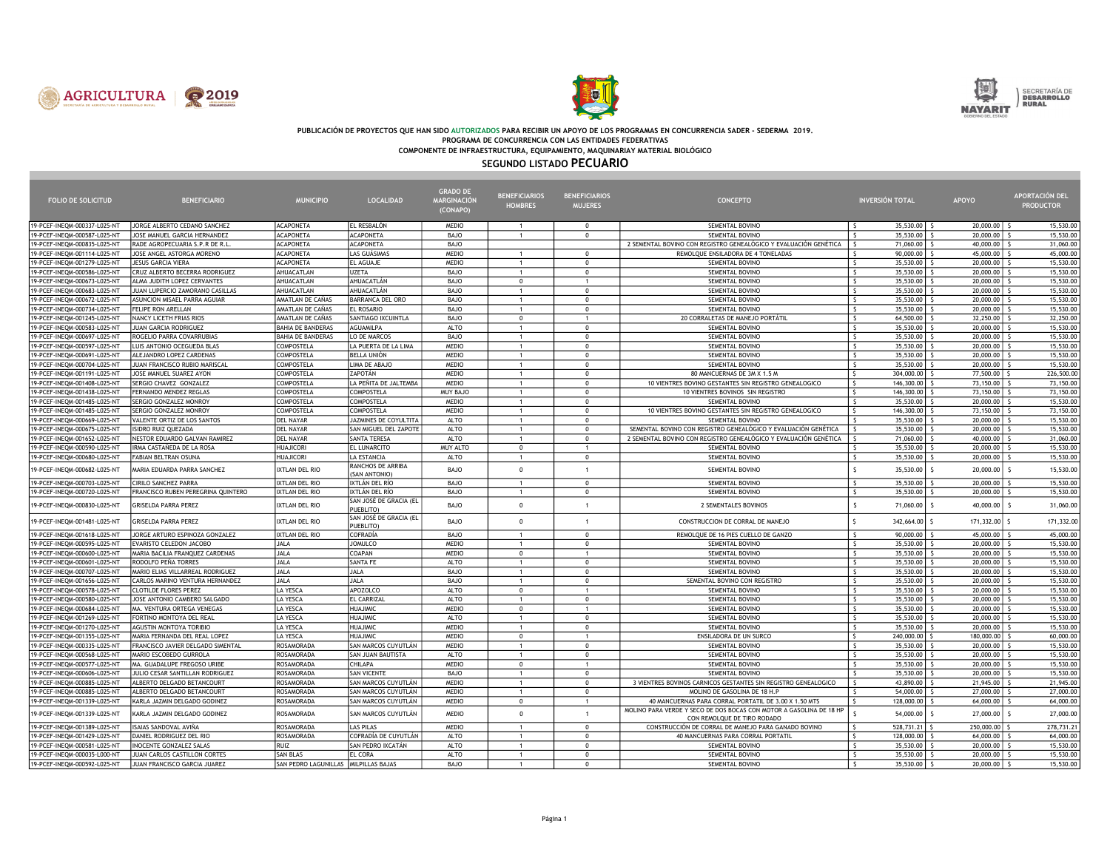





## PUBLICACIÓN DE PROYECTOS QUE HAN SIDO AUTORIZADOS PARA RECIBIR UN APOYO DE LOS PROGRAMAS EN CONCURRENCIA SADER - SEDERMA 2019. PROGRAMA DE CONCURRENCIA CON LAS ENTIDADES FEDERATIVAS

COMPONENTE DE INFRAESTRUCTURA, EQUIPAMIENTO, MAQUINARIAY MATERIAL BIOLÓGICO

## SEGUNDO LISTADO PECUARIO

|                                                              |                                                          |                                      |                                     | <b>GRADO DE</b>              | <b>BENEFICIARIOS</b>         | <b>BENEFICIARIOS</b>       |                                                                                                    |                               |                         |                         | APORTACIÓN DEL         |
|--------------------------------------------------------------|----------------------------------------------------------|--------------------------------------|-------------------------------------|------------------------------|------------------------------|----------------------------|----------------------------------------------------------------------------------------------------|-------------------------------|-------------------------|-------------------------|------------------------|
| <b>FOLIO DE SOLICITUD</b>                                    | <b>BENEFICIARIO</b>                                      | <b>MUNICIPIO</b>                     | <b>LOCALIDAD</b>                    | MARGINACIÓN<br>(CONAPO)      | <b>HOMBRES</b>               | <b>MUJERES</b>             | <b>CONCEPTO</b>                                                                                    |                               | <b>INVERSIÓN TOTAL</b>  | <b>APOYO</b>            | <b>PRODUCTOR</b>       |
|                                                              |                                                          |                                      |                                     |                              |                              |                            |                                                                                                    |                               |                         |                         |                        |
| 19-PCEF-INEQM-000337-L025-NT                                 | JORGE ALBERTO CEDANO SANCHEZ                             | <b>ACAPONETA</b>                     | EL RESBALÓN                         | <b>MEDIO</b>                 | $\mathbf{1}$                 | $\Omega$                   | SEMENTAL BOVINO                                                                                    | $\hat{\zeta}$                 | 35,530.00               | 20,000.00               | 15,530.00              |
| 19-PCEF-INEQM-000587-L025-NT                                 | JOSE MANUEL GARCIA HERNANDEZ                             | <b>ACAPONETA</b>                     | <b>ACAPONETA</b>                    | BAJO                         | $\mathbf{1}$                 | $\Omega$                   | SEMENTAL BOVINO                                                                                    |                               | 35,530.00               | 20,000.00               | 15,530.00              |
| 19-PCEF-INEQM-000835-L025-NT                                 | RADE AGROPECUARIA S.P.R DE R.I.                          | <b>ACAPONETA</b>                     | <b>ACAPONETA</b>                    | BAJO                         |                              |                            | 2 SEMENTAL BOVINO CON REGISTRO GENEALÓGICO Y EVALUACIÓN GENÉTICA                                   | $\mathsf{s}$                  | 71,060.00               | 40,000.00               | 31,060.00              |
| 19-PCEF-INEOM-001114-L025-NT                                 | JOSE ANGEL ASTORGA MORENO                                | <b>ACAPONETA</b>                     | LAS GUÁSIMAS                        | <b>MEDIO</b>                 | $\mathbf{1}$                 | $\Omega$                   | REMOLOUE ENSILADORA DE 4 TONELADAS                                                                 |                               | 90,000.00               | 45,000.00               | 45,000.00              |
| 19-PCEF-INEQM-001279-L025-NT                                 | JESUS GARCIA VIERA                                       | <b>ACAPONETA</b>                     | EL AGUAJE                           | <b>MEDIO</b>                 | 1                            | $\Omega$                   | SEMENTAL BOVINO                                                                                    | S.                            | 35,530.00               | 20,000.00               | 15,530.00              |
| 19-PCEF-INEQM-000586-L025-NT                                 | CRUZ ALBERTO BECERRA RODRIGUEZ                           | AHUACATLAN                           | <b>UZETA</b>                        | BAJO                         | $\mathbf{1}$                 | $\Omega$                   | SEMENTAL BOVINO                                                                                    | $\mathsf{s}$                  | 35,530.00               | 20,000.00               | 15,530.00              |
| 19-PCEF-INEQM-000673-L025-NT                                 | ALMA JUDITH LOPEZ CERVANTES                              | AHUACATLAN                           | AHUACATLÁN                          | BAJO                         | $\mathbf{0}$                 |                            | SEMENTAL BOVINO                                                                                    | $\mathsf{s}$                  | 35,530.00               | 20,000.00               | 15,530.00              |
| 19-PCEF-INEQM-000683-L025-NT                                 | JUAN LUPERCIO ZAMORANO CASILLAS                          | AHUACATLAN                           | AHUACATLÁN                          | <b>BAJO</b>                  | 1                            | $\Omega$                   | SEMENTAL BOVINO                                                                                    | $\mathsf{S}$<br>$\hat{\zeta}$ | 35,530.00               | 20,000.00               | 15,530.00              |
| 19-PCEF-INEQM-000672-L025-NT                                 | ASUNCION MISAEL PARRA AGUIAR                             | AMATLAN DE CAÑAS                     | <b>BARRANCA DEL ORO</b>             | BAJO                         | $\mathbf{1}$<br>$\mathbf{1}$ | $\Omega$<br>$\Omega$       | SEMENTAL BOVINO                                                                                    | $\mathsf{s}$                  | 35,530.00               | 20,000.00               | 15,530.00              |
| 19-PCEF-INEQM-000734-L025-NT<br>19-PCEF-INEOM-001245-L025-NT | FELIPE RON ARELLAN<br>NANCY LICETH FRIAS RIOS            | AMATLAN DE CAÑAS<br>AMATLAN DE CAÑAS | EL ROSARIO<br>SANTIAGO IXCUINTLA    | <b>BAJO</b><br>BAJO          |                              | $\overline{1}$             | SEMENTAL BOVINO<br>20 CORRALETAS DE MANEJO PORTÁTIL                                                | s.                            | 35,530.00<br>64,500.00  | 20,000.00<br>32,250.00  | 15,530.00<br>32,250,00 |
| 19-PCEF-INEQM-000583-L025-NT                                 | JUAN GARCIA RODRIGUEZ                                    | <b>BAHIA DE BANDERAS</b>             | AGUAMILPA                           | <b>ALTO</b>                  | $\mathbf{0}$<br>$\mathbf{1}$ | $\Omega$                   | SEMENTAL BOVINO                                                                                    | $\mathsf{s}$                  | 35,530.00               | 20,000.00               | 15,530.00              |
| 19-PCEF-INEQM-000697-L025-NT                                 | ROGELIO PARRA COVARRUBIAS                                | <b>BAHIA DE BANDERAS</b>             | LO DE MARCOS                        | <b>BAJO</b>                  | $\mathbf{1}$                 | $\Omega$                   | SEMENTAL BOVINO                                                                                    | <sub>S</sub>                  | 35,530.00               | 20,000.00               | 15,530.00              |
| 19-PCEF-INEQM-000597-L025-NT                                 | LUIS ANTONIO OCEGUEDA BLAS                               | COMPOSTELA                           | LA PUERTA DE LA LIMA                | <b>MEDIO</b>                 | 1                            | $\Omega$                   | SEMENTAL BOVINO                                                                                    | $\mathsf{s}$                  | 35,530.00               | 20,000.00               | 15,530.00              |
| 19-PCEF-INEQM-000691-L025-NT                                 | ALEJANDRO LOPEZ CARDENAS                                 | COMPOSTELA                           | <b>BELLA UNIÓN</b>                  | <b>MEDIO</b>                 | $\mathbf{1}$                 | $\Omega$                   | SEMENTAL BOVINO                                                                                    | $\overline{\mathsf{S}}$       | 35,530.00               | 20,000.00               | 15,530.00              |
| 19-PCEF-INEQM-000704-L025-NT                                 | JUAN FRANCISCO RUBIO MARISCAL                            | <b>COMPOSTELA</b>                    | LIMA DE ABAJO                       | <b>MEDIO</b>                 | $\mathbf{1}$                 | $\Omega$                   | SEMENTAL BOVINO                                                                                    | $\mathsf{s}$                  | 35,530.00               | 20,000.00               | 15,530.00              |
| 19-PCEF-INEQM-001191-L025-NT                                 | JOSE MANUEL SUAREZ AYON                                  | COMPOSTELA                           | ZAPOTÁN                             | <b>MEDIO</b>                 | $\mathbf{1}$                 | $\Omega$                   | 80 MANCUERNAS DE 3M X 1.5 M                                                                        | <sup>s</sup>                  | 304,000.00              | 77,500.00               | 226,500.00             |
| 19-PCEF-INEQM-001408-L025-NT                                 | SERGIO CHAVEZ GONZALEZ                                   | <b>COMPOSTELA</b>                    | LA PEÑITA DE JALTEMBA               | <b>MEDIO</b>                 | $\mathbf{1}$                 | $\Omega$                   | 10 VIENTRES BOVINO GESTANTES SIN REGISTRO GENEALOGICO                                              | $\mathsf{S}$                  | 146,300.00              | 73,150.00               | 73,150.00              |
| 19-PCEF-INEQM-001438-L025-NT                                 | FERNANDO MENDEZ REGLAS                                   | COMPOSTEL                            | <b>COMPOSTELA</b>                   | MUY BAJO                     | $\mathbf{1}$                 | $\Omega$                   | 10 VIENTRES BOVINOS SIN REGISTRO                                                                   | $\zeta$                       | 146,300.00              | 73,150.00               | 73,150.00              |
| 19-PCEF-INEQM-001485-L025-NT                                 | SERGIO GONZALEZ MONROY                                   | <b>COMPOSTELA</b>                    | COMPOSTELA                          | <b>MEDIO</b>                 | $\mathbf{1}$                 | $\Omega$                   | SEMENTAL BOVINO                                                                                    | $\mathsf{s}$                  | 35,530.00               | 20,000.00               | 15,530.00              |
| 19-PCEF-INEQM-001485-L025-NT                                 | SERGIO GONZALEZ MONROY                                   | COMPOSTELA                           | COMPOSTELA                          | <b>MEDIO</b>                 | $\mathbf{1}$                 | $\Omega$                   | 10 VIENTRES BOVINO GESTANTES SIN REGISTRO GENEALOGICO                                              | <sup>s</sup>                  | 146,300.00              | 73,150.00               | 73,150.00              |
| 19-PCEF-INEQM-000669-L025-NT                                 | VALENTE ORTIZ DE LOS SANTOS                              | <b>DEL NAYAR</b>                     | JAZMINES DE COYULTITA               | ALTO                         | $\mathbf{1}$                 | $\mathbf 0$                | SEMENTAL BOVINO                                                                                    | $\mathsf{S}$                  | 35,530.00               | 20,000.00               | 15,530.00              |
| 19-PCEF-INEQM-000675-L025-NT                                 | ISIDRO RUIZ QUEZADA                                      | <b>DEL NAYAR</b>                     | SAN MIGUEL DEL ZAPOTE               | <b>ALTO</b>                  | $\mathbf{1}$                 | $\Omega$                   | SEMENTAL BOVINO CON REGISTRO GENEALÓGICO Y EVALUACIÓN GENÉTICA                                     |                               | 35,530.00               | 20,000.00               | 15,530.00              |
| 19-PCEF-INEQM-001652-L025-NT                                 | NESTOR EDUARDO GALVAN RAMIREZ                            | <b>DEL NAYAR</b>                     | <b>SANTA TERESA</b>                 | <b>ALTO</b>                  | $\mathbf{1}$                 | $\Omega$                   | 2 SEMENTAL BOVINO CON REGISTRO GENEALÓGICO Y EVALUACIÓN GENÉTICA                                   |                               | 71,060.00               | 40,000.00               | 31,060.00              |
| 19-PCEF-INEQM-000590-L025-NT                                 | IRMA CASTAÑEDA DE LA ROSA                                | <b>HUAJICORI</b>                     | EL LUNARCITO                        | MUY ALTO                     | $\mathbf{0}$                 | $\overline{1}$             | SEMENTAL BOVINO                                                                                    | $\mathsf{S}$                  | 35,530.00               | 20,000.00               | 15,530.00              |
| 19-PCEF-INEQM-000680-L025-NT                                 | FABIAN BELTRAN OSUNA                                     | <b>HUAJICORI</b>                     | LA ESTANCIA                         | ALTO                         | $\mathbf{1}$                 | $\Omega$                   | SEMENTAL BOVINO                                                                                    | $\hat{\mathbf{C}}$            | 35,530.00               | 20,000.00               | 15,530.00              |
|                                                              |                                                          |                                      | RANCHOS DE ARRIBA                   |                              |                              |                            |                                                                                                    |                               |                         |                         |                        |
| 19-PCEF-INEQM-000682-L025-NT                                 | MARIA EDUARDA PARRA SANCHEZ                              | IXTLAN DEL RIO                       | (SAN ANTONIO)                       | BAJO                         | $\mathbf 0$                  | $\overline{1}$             | SEMENTAL BOVINO                                                                                    | $\mathsf{s}$                  | 35,530.00               | 20,000.00               | 15,530.00              |
| 19-PCEF-INEQM-000703-L025-NT                                 | <b>CIRILO SANCHEZ PARRA</b>                              | <b>IXTLAN DEL RIO</b>                | IXTLÁN DEL RÍO                      | BAJO                         | $\mathbf{1}$                 | $\Omega$                   | SEMENTAL BOVINO                                                                                    | S.                            | 35,530.00               | 20,000.00               | 15,530.00              |
| 19-PCEF-INEQM-000720-L025-NT                                 | FRANCISCO RUBEN PEREGRINA QUINTERO                       | <b>IXTLAN DEL RIO</b>                | IXTLÁN DEL RÍO                      | BAJO                         | $\mathbf{1}$                 | $\mathbf 0$                | SEMENTAL BOVINO                                                                                    | <sub>S</sub>                  | 35,530.00               | 20,000.00               | 15,530.00              |
| 19-PCEF-INEQM-000830-L025-NT                                 | GRISELDA PARRA PEREZ                                     | IXTLAN DEL RIO                       | SAN JOSÉ DE GRACIA (EL<br>PUEBLITO) | <b>BAJO</b>                  | $\Omega$                     | $\overline{1}$             | 2 SEMENTALES BOVINOS                                                                               | $\mathsf{s}$                  | 71,060.00               | 40,000.00               | 31,060.00              |
| 19-PCEF-INEQM-001481-L025-NT                                 | <b>GRISELDA PARRA PEREZ</b>                              | IXTLAN DEL RIO                       | SAN JOSÉ DE GRACIA (EL<br>PUEBLITO) | <b>BAJO</b>                  | $\mathbf 0$                  | $\overline{1}$             | CONSTRUCCION DE CORRAL DE MANEJO                                                                   | Ŝ                             | 342,664.00 \$           | 171,332.00              | 171,332.00             |
| 19-PCEF-INEQM-001618-L025-NT                                 | JORGE ARTURO ESPINOZA GONZALEZ                           | IXTLAN DEL RIO                       | COFRADÍA                            | BAJO                         | 1                            | $\Omega$                   | REMOLQUE DE 16 PIES CUELLO DE GANZO                                                                | $\hat{\zeta}$                 | 90,000.00               | 45,000.00               | 45,000.00              |
| 19-PCEF-INEQM-000595-L025-NT                                 | EVARISTO CELEDON JACOBO                                  | <b>JALA</b>                          | <b>JOMULCO</b>                      | <b>MEDIO</b>                 | $\mathbf{1}$                 | $\Omega$                   | SEMENTAL BOVINO                                                                                    | $\mathsf{s}$                  | 35,530.00               | 20,000.00               | 15,530.00              |
| 19-PCEF-INEQM-000600-L025-NT                                 | MARIA BACILIA FRANQUEZ CARDENAS                          | JALA                                 | COAPAN                              | <b>MEDIO</b>                 | $\mathbf{0}$                 | $\overline{1}$             | SEMENTAL BOVINO                                                                                    | S.                            | 35,530.00               | 20,000.00               | 15,530.00              |
| 19-PCEF-INEQM-000601-L025-NT                                 | RODOLFO PEÑA TORRES                                      | JALA                                 | <b>SANTA FE</b>                     | <b>ALTO</b>                  | $\mathbf{1}$                 | $\mathbf 0$                | SEMENTAL BOVINO                                                                                    | $\hat{\zeta}$                 | 35,530.00               | 20,000.00               | 15,530.00              |
| 19-PCEF-INEQM-000707-L025-NT                                 | MARIO ELIAS VILLARREAL RODRIGUEZ                         | JALA                                 | JALA                                | BAJO                         | $\mathbf{1}$                 | $\Omega$                   | SEMENTAL BOVINO                                                                                    | $\mathsf{s}$                  | 35,530.00               | 20,000.00               | 15,530.00              |
| 19-PCEF-INEOM-001656-L025-NT                                 | CARLOS MARINO VENTURA HERNANDEZ                          | JALA                                 | <b>JALA</b>                         | BAJO                         | $\mathbf{1}$                 | $\Omega$                   | SEMENTAL BOVINO CON REGISTRO                                                                       | $\mathsf{S}$                  | 35,530.00               | 20,000.00               | 15,530.00              |
| 19-PCEF-INEQM-000578-L025-NT                                 | <b>CLOTILDE FLORES PEREZ</b>                             | LA YESCA                             | APOZOLCO                            | <b>ALTO</b>                  | $\Omega$                     |                            | SEMENTAL BOVINO                                                                                    | $\mathsf{s}$                  | 35,530.00               | 20,000.00               | 15,530.00              |
| 19-PCEF-INEQM-000580-L025-NT                                 | JOSE ANTONIO CAMBERO SALGADO                             | LA YESCA                             | EL CARRIZAL                         | ALTO                         | $\mathbf{1}$                 | $\Omega$                   | SEMENTAL BOVINO                                                                                    | $\mathsf{s}$                  | 35,530.00               | 20,000.00               | 15,530.00              |
| 19-PCEF-INEQM-000684-L025-NT                                 | MA. VENTURA ORTEGA VENEGAS                               | <b>LA YESCA</b>                      | <b>HUAJIMIC</b><br><b>HUAJIMIC</b>  | <b>MEDIO</b>                 | $\Omega$                     | $\overline{1}$<br>$\Omega$ | SEMENTAL BOVINO                                                                                    | s.<br>$\overline{\mathsf{S}}$ | 35,530.00               | 20,000.00               | 15,530.00              |
| 19-PCEF-INEQM-001269-L025-NT                                 | FORTINO MONTOYA DEL REAL                                 | <b>LA YESCA</b>                      |                                     | <b>ALTO</b>                  | $\mathbf{1}$                 |                            | SEMENTAL BOVINO                                                                                    |                               | 35,530.00               | 20,000.00               | 15,530.00              |
| 19-PCEF-INEQM-001270-L025-NT<br>19-PCEF-INEQM-001355-L025-NT | AGUSTIN MONTOYA TORIBIO<br>MARIA FERNANDA DEL REAL LOPEZ | LA YESCA<br>LA YESCA                 | <b>HUAJIMIC</b><br><b>HUAJIMIC</b>  | <b>MEDIO</b><br><b>MEDIO</b> | $\mathbf{1}$<br>$\Omega$     | $\Omega$<br>$\overline{1}$ | SEMENTAL BOVINO<br>ENSILADORA DE UN SURCO                                                          | -S<br>$\mathsf{S}$            | 35,530.00<br>240,000.00 | 20,000.00<br>180,000.00 | 15,530.00<br>60,000.00 |
| 19-PCEF-INEOM-000335-L025-NT                                 | FRANCISCO JAVIER DELGADO SIMENTAL                        | ROSAMORADA                           | SAN MARCOS CUYUTLÁN                 | <b>MEDIO</b>                 | $\mathbf{1}$                 | $\Omega$                   | SEMENTAL BOVINO                                                                                    | $\mathsf{s}$                  | 35,530,00               | 20,000.00               | 15,530.00              |
| 19-PCEF-INEQM-000568-L025-NT                                 | MARIO ESCOBEDO GURROLA                                   | ROSAMORADA                           | SAN JUAN BAUTISTA                   | ALTO                         | $\mathbf{1}$                 | $\overline{0}$             | SEMENTAL BOVINO                                                                                    | S.                            | 35,530.00               | 20,000.00               | 15,530.00              |
| 19-PCEF-INEQM-000577-L025-NT                                 | MA. GUADALUPE FREGOSO URIBE                              | ROSAMORADA                           | CHILAPA                             | <b>MEDIO</b>                 | $\Omega$                     | $\overline{1}$             | SEMENTAL BOVINO                                                                                    | $\mathsf{s}$                  | 35,530.00               | 20,000.00               | 15,530.00              |
| 19-PCEF-INEQM-000606-L025-NT                                 | JULIO CESAR SANTILLAN RODRIGUEZ                          | ROSAMORADA                           | <b>SAN VICENTE</b>                  | BAJO                         | $\mathbf{1}$                 | $\Omega$                   | SEMENTAL BOVINO                                                                                    | $\hat{\varsigma}$             | 35,530.00               | 20,000.00               | 15,530.00              |
| 19-PCEF-INEQM-000885-L025-NT                                 | ALBERTO DELGADO BETANCOURT                               | ROSAMORADA                           | SAN MARCOS CUYUTLÁN                 | <b>MEDIO</b>                 | 1                            | $\Omega$                   | 3 VIENTRES BOVINOS CARNICOS GESTANTES SIN REGISTRO GENEALOGICO                                     | -S                            | 43,890.00               | 21,945.00               | 21,945.00              |
| 19-PCEF-INEQM-000885-L025-NT                                 | ALBERTO DELGADO BETANCOURT                               | ROSAMORADA                           | SAN MARCOS CUYUTLÁN                 | <b>MEDIO</b>                 | $\mathbf{1}$                 | $\mathbf 0$                | MOLINO DE GASOLINA DE 18 H.P                                                                       |                               | 54,000.00               | 27,000.00               | 27,000.00              |
| 19-PCEF-INEQM-001339-L025-NT                                 | KARLA JAZMIN DELGADO GODINEZ                             | ROSAMORADA                           | SAN MARCOS CUYUTLÁN                 | <b>MEDIO</b>                 | $\mathbf{0}$                 | $\overline{1}$             | 40 MANCUERNAS PARA CORRAL PORTATIL DE 3.00 X 1.50 MTS                                              |                               | 128,000.00              | 64,000.00               | 64,000.00              |
| 19-PCEF-INEQM-001339-L025-NT                                 | KARLA JAZMIN DELGADO GODINEZ                             | ROSAMORADA                           | SAN MARCOS CUYUTLÁN                 | <b>MEDIO</b>                 | $\Omega$                     | $\overline{1}$             | MOLINO PARA VERDE Y SECO DE DOS BOCAS CON MOTOR A GASOLINA DE 18 HP<br>CON REMOLOUE DE TIRO RODADO |                               | 54,000.00               | 27,000.00               | 27,000.00              |
| 19-PCEF-INEQM-001389-L025-NT                                 | ISAIAS SANDOVAL AVIÑA                                    | ROSAMORADA                           | <b>LAS PILAS</b>                    | <b>MEDIO</b>                 | $\mathbf{1}$                 | $\Omega$                   | CONSTRUCCIÓN DE CORRAL DE MANEJO PARA GANADO BOVINO                                                |                               | 528,731.21              | 250,000.00              | 278,731.21             |
| 19-PCEF-INEQM-001429-L025-NT                                 | DANIEL RODRIGUEZ DEL RIO                                 | <b>ROSAMORADA</b>                    | COFRADÍA DE CUYUTLÁN                | ALTO                         | 1                            | $\Omega$                   | 40 MANCUERNAS PARA CORRAL PORTATIL                                                                 |                               | 128,000.00              | 64,000.00               | 64,000.00              |
| 19-PCEF-INEQM-000581-L025-NT                                 | <b>NOCENTE GONZALEZ SALAS</b>                            | RUIZ                                 | SAN PEDRO IXCATÁN                   | <b>ALTO</b>                  | $\mathbf{1}$                 | $\mathbf 0$                | SEMENTAL BOVINO                                                                                    | -S                            | 35,530.00               | 20,000.00               | 15,530.00              |
| 19-PCEF-INEOM-000035-L000-NT                                 | JUAN CARLOS CASTILLON CORTES                             | SAN BLAS                             | EL CORA                             | <b>ALTO</b>                  | $\mathbf{1}$                 | $\Omega$                   | SEMENTAL BOVINO                                                                                    | $\hat{\zeta}$                 | 35,530.00               | 20,000.00               | 15,530.00              |
| 19-PCEF-INEQM-000592-L025-NT                                 | JUAN FRANCISCO GARCIA JUAREZ                             | SAN PEDRO LAGUNILLAS MILPILLAS BAJAS |                                     | BAJO                         |                              | $\Omega$                   | SEMENTAL BOVINO                                                                                    |                               | 35,530.00               | 20,000.00               | 15,530.00              |
|                                                              |                                                          |                                      |                                     |                              |                              |                            |                                                                                                    |                               |                         |                         |                        |